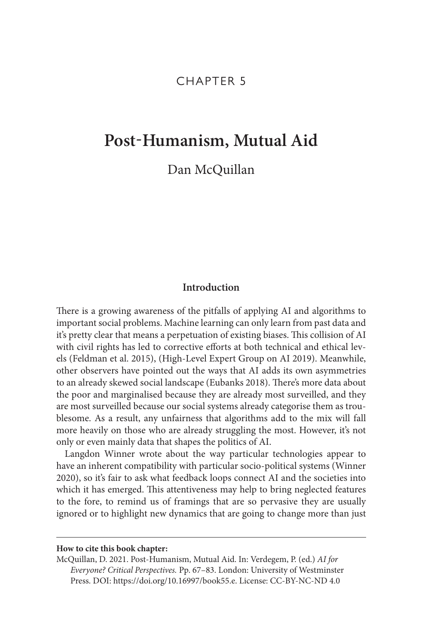# CHAPTER 5

# **Post-Humanism, Mutual Aid**

Dan McQuillan

# **Introduction**

There is a growing awareness of the pitfalls of applying AI and algorithms to important social problems. Machine learning can only learn from past data and it's pretty clear that means a perpetuation of existing biases. This collision of AI with civil rights has led to corrective efforts at both technical and ethical levels (Feldman et al. 2015), (High-Level Expert Group on AI 2019). Meanwhile, other observers have pointed out the ways that AI adds its own asymmetries to an already skewed social landscape (Eubanks 2018). There's more data about the poor and marginalised because they are already most surveilled, and they are most surveilled because our social systems already categorise them as troublesome. As a result, any unfairness that algorithms add to the mix will fall more heavily on those who are already struggling the most. However, it's not only or even mainly data that shapes the politics of AI.

Langdon Winner wrote about the way particular technologies appear to have an inherent compatibility with particular socio-political systems (Winner 2020), so it's fair to ask what feedback loops connect AI and the societies into which it has emerged. This attentiveness may help to bring neglected features to the fore, to remind us of framings that are so pervasive they are usually ignored or to highlight new dynamics that are going to change more than just

#### **How to cite this book chapter:**

McQuillan, D. 2021. Post-Humanism, Mutual Aid. In: Verdegem, P. (ed.) *AI for Everyone? Critical Perspectives.* Pp. 67–83. London: University of Westminster Press. DOI: [https://doi.org/10.16997/book55.e.](https://doi.org/10.16997/book55.e) License: CC-BY-NC-ND 4.0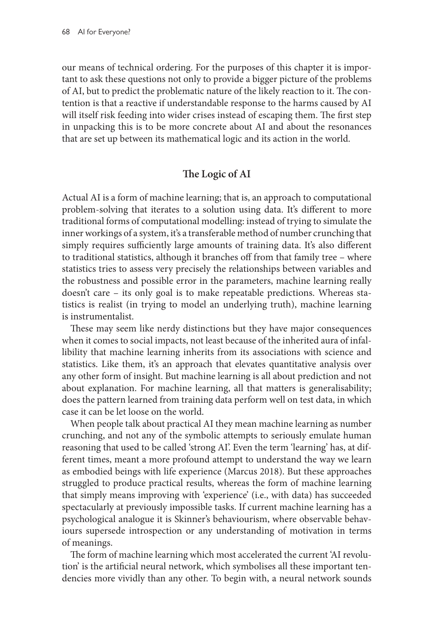our means of technical ordering. For the purposes of this chapter it is important to ask these questions not only to provide a bigger picture of the problems of AI, but to predict the problematic nature of the likely reaction to it. The contention is that a reactive if understandable response to the harms caused by AI will itself risk feeding into wider crises instead of escaping them. The first step in unpacking this is to be more concrete about AI and about the resonances that are set up between its mathematical logic and its action in the world.

# **The Logic of AI**

Actual AI is a form of machine learning; that is, an approach to computational problem-solving that iterates to a solution using data. It's different to more traditional forms of computational modelling: instead of trying to simulate the inner workings of a system, it's a transferable method of number crunching that simply requires sufficiently large amounts of training data. It's also different to traditional statistics, although it branches off from that family tree – where statistics tries to assess very precisely the relationships between variables and the robustness and possible error in the parameters, machine learning really doesn't care – its only goal is to make repeatable predictions. Whereas statistics is realist (in trying to model an underlying truth), machine learning is instrumentalist.

These may seem like nerdy distinctions but they have major consequences when it comes to social impacts, not least because of the inherited aura of infallibility that machine learning inherits from its associations with science and statistics. Like them, it's an approach that elevates quantitative analysis over any other form of insight. But machine learning is all about prediction and not about explanation. For machine learning, all that matters is generalisability; does the pattern learned from training data perform well on test data, in which case it can be let loose on the world.

When people talk about practical AI they mean machine learning as number crunching, and not any of the symbolic attempts to seriously emulate human reasoning that used to be called 'strong AI'. Even the term 'learning' has, at different times, meant a more profound attempt to understand the way we learn as embodied beings with life experience (Marcus 2018). But these approaches struggled to produce practical results, whereas the form of machine learning that simply means improving with 'experience' (i.e., with data) has succeeded spectacularly at previously impossible tasks. If current machine learning has a psychological analogue it is Skinner's behaviourism, where observable behaviours supersede introspection or any understanding of motivation in terms of meanings.

The form of machine learning which most accelerated the current 'AI revolution' is the artificial neural network, which symbolises all these important tendencies more vividly than any other. To begin with, a neural network sounds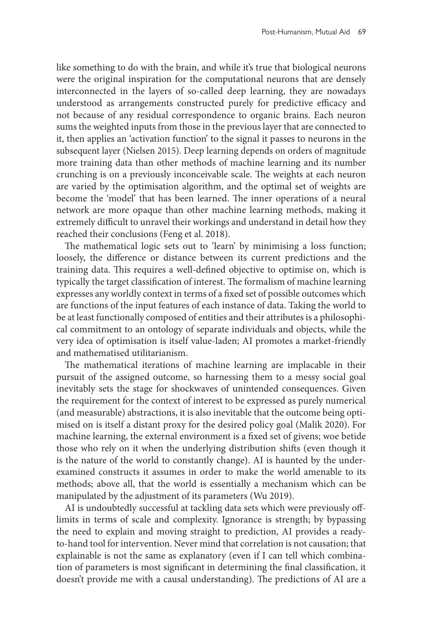like something to do with the brain, and while it's true that biological neurons were the original inspiration for the computational neurons that are densely interconnected in the layers of so-called deep learning, they are nowadays understood as arrangements constructed purely for predictive efficacy and not because of any residual correspondence to organic brains. Each neuron sums the weighted inputs from those in the previous layer that are connected to it, then applies an 'activation function' to the signal it passes to neurons in the subsequent layer (Nielsen 2015). Deep learning depends on orders of magnitude more training data than other methods of machine learning and its number crunching is on a previously inconceivable scale. The weights at each neuron are varied by the optimisation algorithm, and the optimal set of weights are become the 'model' that has been learned. The inner operations of a neural network are more opaque than other machine learning methods, making it extremely difficult to unravel their workings and understand in detail how they reached their conclusions (Feng et al. 2018).

The mathematical logic sets out to 'learn' by minimising a loss function; loosely, the difference or distance between its current predictions and the training data. This requires a well-defined objective to optimise on, which is typically the target classification of interest. The formalism of machine learning expresses any worldly context in terms of a fixed set of possible outcomes which are functions of the input features of each instance of data. Taking the world to be at least functionally composed of entities and their attributes is a philosophical commitment to an ontology of separate individuals and objects, while the very idea of optimisation is itself value-laden; AI promotes a market-friendly and mathematised utilitarianism.

The mathematical iterations of machine learning are implacable in their pursuit of the assigned outcome, so harnessing them to a messy social goal inevitably sets the stage for shockwaves of unintended consequences. Given the requirement for the context of interest to be expressed as purely numerical (and measurable) abstractions, it is also inevitable that the outcome being optimised on is itself a distant proxy for the desired policy goal (Malik 2020). For machine learning, the external environment is a fixed set of givens; woe betide those who rely on it when the underlying distribution shifts (even though it is the nature of the world to constantly change). AI is haunted by the underexamined constructs it assumes in order to make the world amenable to its methods; above all, that the world is essentially a mechanism which can be manipulated by the adjustment of its parameters (Wu 2019).

AI is undoubtedly successful at tackling data sets which were previously offlimits in terms of scale and complexity. Ignorance is strength; by bypassing the need to explain and moving straight to prediction, AI provides a readyto-hand tool for intervention. Never mind that correlation is not causation; that explainable is not the same as explanatory (even if I can tell which combination of parameters is most significant in determining the final classification, it doesn't provide me with a causal understanding). The predictions of AI are a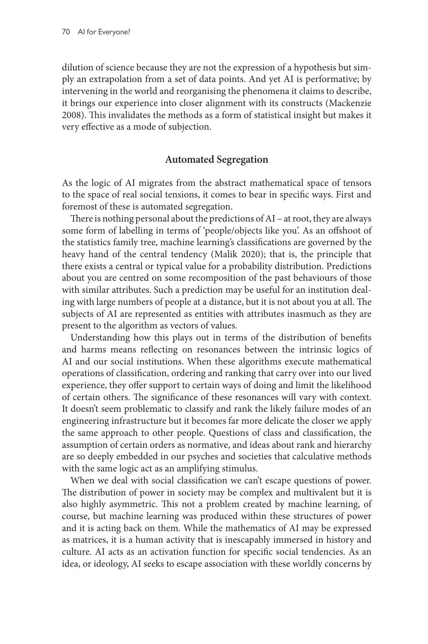dilution of science because they are not the expression of a hypothesis but simply an extrapolation from a set of data points. And yet AI is performative; by intervening in the world and reorganising the phenomena it claims to describe, it brings our experience into closer alignment with its constructs (Mackenzie 2008). This invalidates the methods as a form of statistical insight but makes it very effective as a mode of subjection.

#### **Automated Segregation**

As the logic of AI migrates from the abstract mathematical space of tensors to the space of real social tensions, it comes to bear in specific ways. First and foremost of these is automated segregation.

There is nothing personal about the predictions of AI – at root, they are always some form of labelling in terms of 'people/objects like you'. As an offshoot of the statistics family tree, machine learning's classifications are governed by the heavy hand of the central tendency (Malik 2020); that is, the principle that there exists a central or typical value for a probability distribution. Predictions about you are centred on some recomposition of the past behaviours of those with similar attributes. Such a prediction may be useful for an institution dealing with large numbers of people at a distance, but it is not about you at all. The subjects of AI are represented as entities with attributes inasmuch as they are present to the algorithm as vectors of values.

Understanding how this plays out in terms of the distribution of benefits and harms means reflecting on resonances between the intrinsic logics of AI and our social institutions. When these algorithms execute mathematical operations of classification, ordering and ranking that carry over into our lived experience, they offer support to certain ways of doing and limit the likelihood of certain others. The significance of these resonances will vary with context. It doesn't seem problematic to classify and rank the likely failure modes of an engineering infrastructure but it becomes far more delicate the closer we apply the same approach to other people. Questions of class and classification, the assumption of certain orders as normative, and ideas about rank and hierarchy are so deeply embedded in our psyches and societies that calculative methods with the same logic act as an amplifying stimulus.

When we deal with social classification we can't escape questions of power. The distribution of power in society may be complex and multivalent but it is also highly asymmetric. This not a problem created by machine learning, of course, but machine learning was produced within these structures of power and it is acting back on them. While the mathematics of AI may be expressed as matrices, it is a human activity that is inescapably immersed in history and culture. AI acts as an activation function for specific social tendencies. As an idea, or ideology, AI seeks to escape association with these worldly concerns by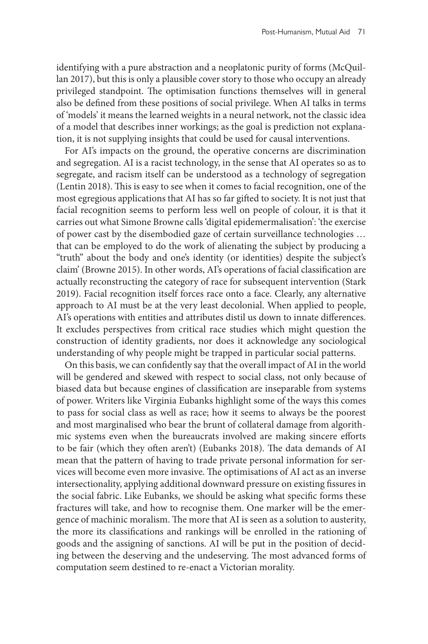identifying with a pure abstraction and a neoplatonic purity of forms (McQuillan 2017), but this is only a plausible cover story to those who occupy an already privileged standpoint. The optimisation functions themselves will in general also be defined from these positions of social privilege. When AI talks in terms of 'models' it means the learned weights in a neural network, not the classic idea of a model that describes inner workings; as the goal is prediction not explanation, it is not supplying insights that could be used for causal interventions.

For AI's impacts on the ground, the operative concerns are discrimination and segregation. AI is a racist technology, in the sense that AI operates so as to segregate, and racism itself can be understood as a technology of segregation (Lentin 2018). This is easy to see when it comes to facial recognition, one of the most egregious applications that AI has so far gifted to society. It is not just that facial recognition seems to perform less well on people of colour, it is that it carries out what Simone Browne calls 'digital epidemermalisation': 'the exercise of power cast by the disembodied gaze of certain surveillance technologies … that can be employed to do the work of alienating the subject by producing a "truth" about the body and one's identity (or identities) despite the subject's claim' (Browne 2015). In other words, AI's operations of facial classification are actually reconstructing the category of race for subsequent intervention (Stark 2019). Facial recognition itself forces race onto a face. Clearly, any alternative approach to AI must be at the very least decolonial. When applied to people, AI's operations with entities and attributes distil us down to innate differences. It excludes perspectives from critical race studies which might question the construction of identity gradients, nor does it acknowledge any sociological understanding of why people might be trapped in particular social patterns.

On this basis, we can confidently say that the overall impact of AI in the world will be gendered and skewed with respect to social class, not only because of biased data but because engines of classification are inseparable from systems of power. Writers like Virginia Eubanks highlight some of the ways this comes to pass for social class as well as race; how it seems to always be the poorest and most marginalised who bear the brunt of collateral damage from algorithmic systems even when the bureaucrats involved are making sincere efforts to be fair (which they often aren't) (Eubanks 2018). The data demands of AI mean that the pattern of having to trade private personal information for services will become even more invasive. The optimisations of AI act as an inverse intersectionality, applying additional downward pressure on existing fissures in the social fabric. Like Eubanks, we should be asking what specific forms these fractures will take, and how to recognise them. One marker will be the emergence of machinic moralism. The more that AI is seen as a solution to austerity, the more its classifications and rankings will be enrolled in the rationing of goods and the assigning of sanctions. AI will be put in the position of deciding between the deserving and the undeserving. The most advanced forms of computation seem destined to re-enact a Victorian morality.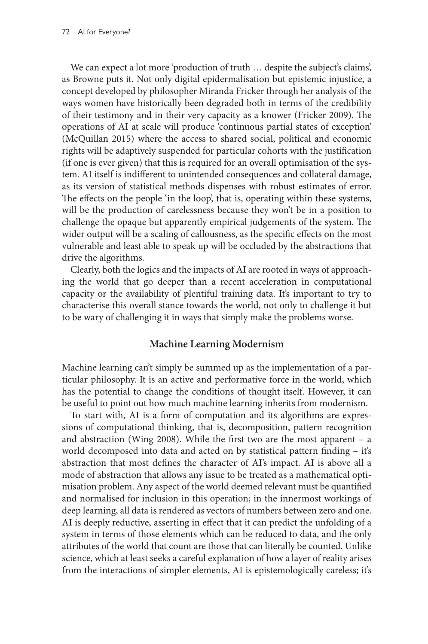We can expect a lot more 'production of truth … despite the subject's claims', as Browne puts it. Not only digital epidermalisation but epistemic injustice, a concept developed by philosopher Miranda Fricker through her analysis of the ways women have historically been degraded both in terms of the credibility of their testimony and in their very capacity as a knower (Fricker 2009). The operations of AI at scale will produce 'continuous partial states of exception' (McQuillan 2015) where the access to shared social, political and economic rights will be adaptively suspended for particular cohorts with the justification (if one is ever given) that this is required for an overall optimisation of the system. AI itself is indifferent to unintended consequences and collateral damage, as its version of statistical methods dispenses with robust estimates of error. The effects on the people 'in the loop', that is, operating within these systems, will be the production of carelessness because they won't be in a position to challenge the opaque but apparently empirical judgements of the system. The wider output will be a scaling of callousness, as the specific effects on the most vulnerable and least able to speak up will be occluded by the abstractions that drive the algorithms.

Clearly, both the logics and the impacts of AI are rooted in ways of approaching the world that go deeper than a recent acceleration in computational capacity or the availability of plentiful training data. It's important to try to characterise this overall stance towards the world, not only to challenge it but to be wary of challenging it in ways that simply make the problems worse.

#### **Machine Learning Modernism**

Machine learning can't simply be summed up as the implementation of a particular philosophy. It is an active and performative force in the world, which has the potential to change the conditions of thought itself. However, it can be useful to point out how much machine learning inherits from modernism.

To start with, AI is a form of computation and its algorithms are expressions of computational thinking, that is, decomposition, pattern recognition and abstraction (Wing 2008). While the first two are the most apparent – a world decomposed into data and acted on by statistical pattern finding – it's abstraction that most defines the character of AI's impact. AI is above all a mode of abstraction that allows any issue to be treated as a mathematical optimisation problem. Any aspect of the world deemed relevant must be quantified and normalised for inclusion in this operation; in the innermost workings of deep learning, all data is rendered as vectors of numbers between zero and one. AI is deeply reductive, asserting in effect that it can predict the unfolding of a system in terms of those elements which can be reduced to data, and the only attributes of the world that count are those that can literally be counted. Unlike science, which at least seeks a careful explanation of how a layer of reality arises from the interactions of simpler elements, AI is epistemologically careless; it's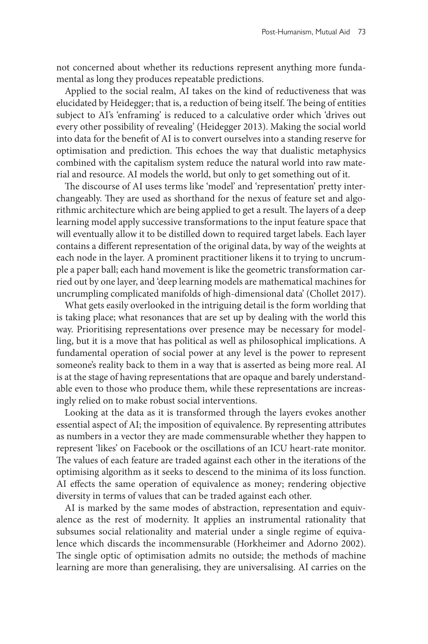not concerned about whether its reductions represent anything more fundamental as long they produces repeatable predictions.

Applied to the social realm, AI takes on the kind of reductiveness that was elucidated by Heidegger; that is, a reduction of being itself. The being of entities subject to AI's 'enframing' is reduced to a calculative order which 'drives out every other possibility of revealing' (Heidegger 2013). Making the social world into data for the benefit of AI is to convert ourselves into a standing reserve for optimisation and prediction. This echoes the way that dualistic metaphysics combined with the capitalism system reduce the natural world into raw material and resource. AI models the world, but only to get something out of it.

The discourse of AI uses terms like 'model' and 'representation' pretty interchangeably. They are used as shorthand for the nexus of feature set and algorithmic architecture which are being applied to get a result. The layers of a deep learning model apply successive transformations to the input feature space that will eventually allow it to be distilled down to required target labels. Each layer contains a different representation of the original data, by way of the weights at each node in the layer. A prominent practitioner likens it to trying to uncrumple a paper ball; each hand movement is like the geometric transformation carried out by one layer, and 'deep learning models are mathematical machines for uncrumpling complicated manifolds of high-dimensional data' (Chollet 2017).

What gets easily overlooked in the intriguing detail is the form worlding that is taking place; what resonances that are set up by dealing with the world this way. Prioritising representations over presence may be necessary for modelling, but it is a move that has political as well as philosophical implications. A fundamental operation of social power at any level is the power to represent someone's reality back to them in a way that is asserted as being more real. AI is at the stage of having representations that are opaque and barely understandable even to those who produce them, while these representations are increasingly relied on to make robust social interventions.

Looking at the data as it is transformed through the layers evokes another essential aspect of AI; the imposition of equivalence. By representing attributes as numbers in a vector they are made commensurable whether they happen to represent 'likes' on Facebook or the oscillations of an ICU heart-rate monitor. The values of each feature are traded against each other in the iterations of the optimising algorithm as it seeks to descend to the minima of its loss function. AI effects the same operation of equivalence as money; rendering objective diversity in terms of values that can be traded against each other.

AI is marked by the same modes of abstraction, representation and equivalence as the rest of modernity. It applies an instrumental rationality that subsumes social relationality and material under a single regime of equivalence which discards the incommensurable (Horkheimer and Adorno 2002). The single optic of optimisation admits no outside; the methods of machine learning are more than generalising, they are universalising. AI carries on the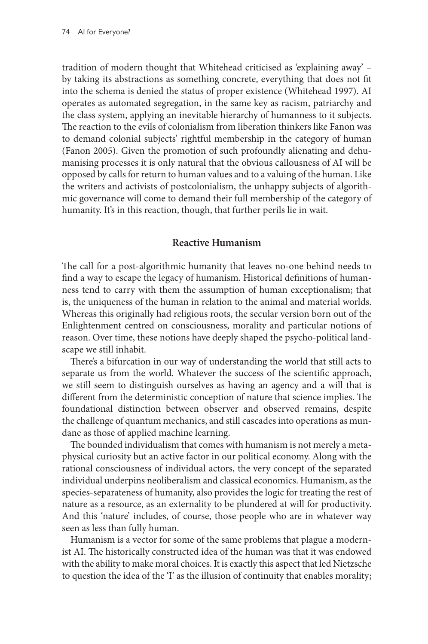tradition of modern thought that Whitehead criticised as 'explaining away' – by taking its abstractions as something concrete, everything that does not fit into the schema is denied the status of proper existence (Whitehead 1997). AI operates as automated segregation, in the same key as racism, patriarchy and the class system, applying an inevitable hierarchy of humanness to it subjects. The reaction to the evils of colonialism from liberation thinkers like Fanon was to demand colonial subjects' rightful membership in the category of human (Fanon 2005). Given the promotion of such profoundly alienating and dehumanising processes it is only natural that the obvious callousness of AI will be opposed by calls for return to human values and to a valuing of the human. Like the writers and activists of postcolonialism, the unhappy subjects of algorithmic governance will come to demand their full membership of the category of humanity. It's in this reaction, though, that further perils lie in wait.

## **Reactive Humanism**

The call for a post-algorithmic humanity that leaves no-one behind needs to find a way to escape the legacy of humanism. Historical definitions of humanness tend to carry with them the assumption of human exceptionalism; that is, the uniqueness of the human in relation to the animal and material worlds. Whereas this originally had religious roots, the secular version born out of the Enlightenment centred on consciousness, morality and particular notions of reason. Over time, these notions have deeply shaped the psycho-political landscape we still inhabit.

There's a bifurcation in our way of understanding the world that still acts to separate us from the world. Whatever the success of the scientific approach, we still seem to distinguish ourselves as having an agency and a will that is different from the deterministic conception of nature that science implies. The foundational distinction between observer and observed remains, despite the challenge of quantum mechanics, and still cascades into operations as mundane as those of applied machine learning.

The bounded individualism that comes with humanism is not merely a metaphysical curiosity but an active factor in our political economy. Along with the rational consciousness of individual actors, the very concept of the separated individual underpins neoliberalism and classical economics. Humanism, as the species-separateness of humanity, also provides the logic for treating the rest of nature as a resource, as an externality to be plundered at will for productivity. And this 'nature' includes, of course, those people who are in whatever way seen as less than fully human.

Humanism is a vector for some of the same problems that plague a modernist AI. The historically constructed idea of the human was that it was endowed with the ability to make moral choices. It is exactly this aspect that led Nietzsche to question the idea of the 'I' as the illusion of continuity that enables morality;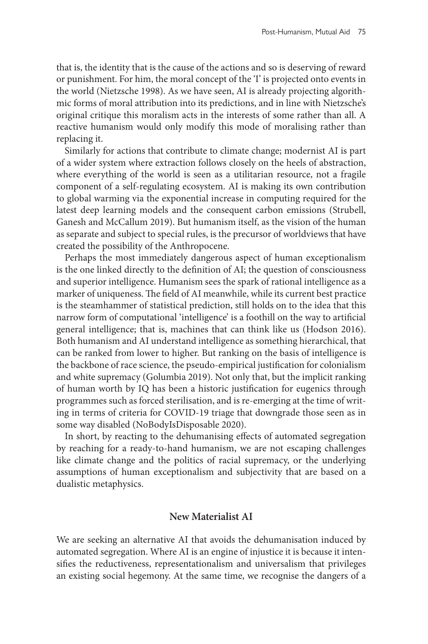that is, the identity that is the cause of the actions and so is deserving of reward or punishment. For him, the moral concept of the 'I' is projected onto events in the world (Nietzsche 1998). As we have seen, AI is already projecting algorithmic forms of moral attribution into its predictions, and in line with Nietzsche's original critique this moralism acts in the interests of some rather than all. A reactive humanism would only modify this mode of moralising rather than replacing it.

Similarly for actions that contribute to climate change; modernist AI is part of a wider system where extraction follows closely on the heels of abstraction, where everything of the world is seen as a utilitarian resource, not a fragile component of a self-regulating ecosystem. AI is making its own contribution to global warming via the exponential increase in computing required for the latest deep learning models and the consequent carbon emissions (Strubell, Ganesh and McCallum 2019). But humanism itself, as the vision of the human as separate and subject to special rules, is the precursor of worldviews that have created the possibility of the Anthropocene.

Perhaps the most immediately dangerous aspect of human exceptionalism is the one linked directly to the definition of AI; the question of consciousness and superior intelligence. Humanism sees the spark of rational intelligence as a marker of uniqueness. The field of AI meanwhile, while its current best practice is the steamhammer of statistical prediction, still holds on to the idea that this narrow form of computational 'intelligence' is a foothill on the way to artificial general intelligence; that is, machines that can think like us (Hodson 2016). Both humanism and AI understand intelligence as something hierarchical, that can be ranked from lower to higher. But ranking on the basis of intelligence is the backbone of race science, the pseudo-empirical justification for colonialism and white supremacy (Golumbia 2019). Not only that, but the implicit ranking of human worth by IQ has been a historic justification for eugenics through programmes such as forced sterilisation, and is re-emerging at the time of writing in terms of criteria for COVID-19 triage that downgrade those seen as in some way disabled (NoBodyIsDisposable 2020).

In short, by reacting to the dehumanising effects of automated segregation by reaching for a ready-to-hand humanism, we are not escaping challenges like climate change and the politics of racial supremacy, or the underlying assumptions of human exceptionalism and subjectivity that are based on a dualistic metaphysics.

# **New Materialist AI**

We are seeking an alternative AI that avoids the dehumanisation induced by automated segregation. Where AI is an engine of injustice it is because it intensifies the reductiveness, representationalism and universalism that privileges an existing social hegemony. At the same time, we recognise the dangers of a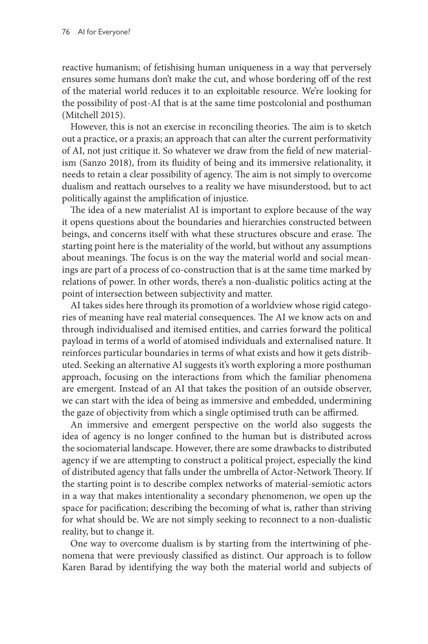reactive humanism; of fetishising human uniqueness in a way that perversely ensures some humans don't make the cut, and whose bordering off of the rest of the material world reduces it to an exploitable resource. We're looking for the possibility of post-AI that is at the same time postcolonial and posthuman (Mitchell 2015).

However, this is not an exercise in reconciling theories. The aim is to sketch out a practice, or a praxis; an approach that can alter the current performativity of AI, not just critique it. So whatever we draw from the field of new materialism (Sanzo 2018), from its fluidity of being and its immersive relationality, it needs to retain a clear possibility of agency. The aim is not simply to overcome dualism and reattach ourselves to a reality we have misunderstood, but to act politically against the amplification of injustice.

The idea of a new materialist AI is important to explore because of the way it opens questions about the boundaries and hierarchies constructed between beings, and concerns itself with what these structures obscure and erase. The starting point here is the materiality of the world, but without any assumptions about meanings. The focus is on the way the material world and social meanings are part of a process of co-construction that is at the same time marked by relations of power. In other words, there's a non-dualistic politics acting at the point of intersection between subjectivity and matter.

AI takes sides here through its promotion of a worldview whose rigid categories of meaning have real material consequences. The AI we know acts on and through individualised and itemised entities, and carries forward the political payload in terms of a world of atomised individuals and externalised nature. It reinforces particular boundaries in terms of what exists and how it gets distributed. Seeking an alternative AI suggests it's worth exploring a more posthuman approach, focusing on the interactions from which the familiar phenomena are emergent. Instead of an AI that takes the position of an outside observer, we can start with the idea of being as immersive and embedded, undermining the gaze of objectivity from which a single optimised truth can be affirmed.

An immersive and emergent perspective on the world also suggests the idea of agency is no longer confined to the human but is distributed across the sociomaterial landscape. However, there are some drawbacks to distributed agency if we are attempting to construct a political project, especially the kind of distributed agency that falls under the umbrella of Actor-Network Theory. If the starting point is to describe complex networks of material-semiotic actors in a way that makes intentionality a secondary phenomenon, we open up the space for pacification; describing the becoming of what is, rather than striving for what should be. We are not simply seeking to reconnect to a non-dualistic reality, but to change it.

One way to overcome dualism is by starting from the intertwining of phenomena that were previously classified as distinct. Our approach is to follow Karen Barad by identifying the way both the material world and subjects of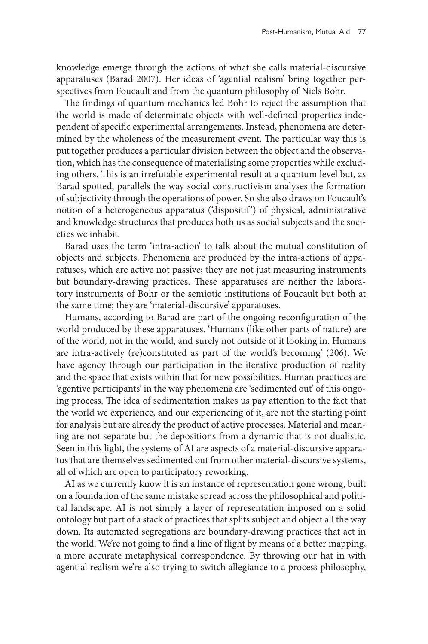knowledge emerge through the actions of what she calls material-discursive apparatuses (Barad 2007). Her ideas of 'agential realism' bring together perspectives from Foucault and from the quantum philosophy of Niels Bohr.

The findings of quantum mechanics led Bohr to reject the assumption that the world is made of determinate objects with well-defined properties independent of specific experimental arrangements. Instead, phenomena are determined by the wholeness of the measurement event. The particular way this is put together produces a particular division between the object and the observation, which has the consequence of materialising some properties while excluding others. This is an irrefutable experimental result at a quantum level but, as Barad spotted, parallels the way social constructivism analyses the formation of subjectivity through the operations of power. So she also draws on Foucault's notion of a heterogeneous apparatus ('dispositif') of physical, administrative and knowledge structures that produces both us as social subjects and the societies we inhabit.

Barad uses the term 'intra-action' to talk about the mutual constitution of objects and subjects. Phenomena are produced by the intra-actions of apparatuses, which are active not passive; they are not just measuring instruments but boundary-drawing practices. These apparatuses are neither the laboratory instruments of Bohr or the semiotic institutions of Foucault but both at the same time; they are 'material-discursive' apparatuses.

Humans, according to Barad are part of the ongoing reconfiguration of the world produced by these apparatuses. 'Humans (like other parts of nature) are of the world, not in the world, and surely not outside of it looking in. Humans are intra-actively (re)constituted as part of the world's becoming' (206). We have agency through our participation in the iterative production of reality and the space that exists within that for new possibilities. Human practices are 'agentive participants' in the way phenomena are 'sedimented out' of this ongoing process. The idea of sedimentation makes us pay attention to the fact that the world we experience, and our experiencing of it, are not the starting point for analysis but are already the product of active processes. Material and meaning are not separate but the depositions from a dynamic that is not dualistic. Seen in this light, the systems of AI are aspects of a material-discursive apparatus that are themselves sedimented out from other material-discursive systems, all of which are open to participatory reworking.

AI as we currently know it is an instance of representation gone wrong, built on a foundation of the same mistake spread across the philosophical and political landscape. AI is not simply a layer of representation imposed on a solid ontology but part of a stack of practices that splits subject and object all the way down. Its automated segregations are boundary-drawing practices that act in the world. We're not going to find a line of flight by means of a better mapping, a more accurate metaphysical correspondence. By throwing our hat in with agential realism we're also trying to switch allegiance to a process philosophy,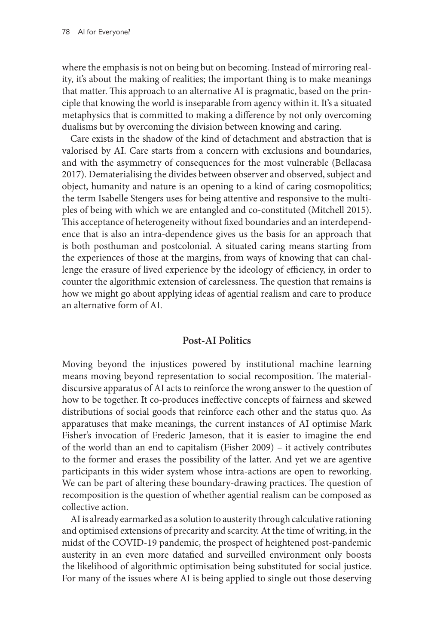where the emphasis is not on being but on becoming. Instead of mirroring reality, it's about the making of realities; the important thing is to make meanings that matter. This approach to an alternative AI is pragmatic, based on the principle that knowing the world is inseparable from agency within it. It's a situated metaphysics that is committed to making a difference by not only overcoming dualisms but by overcoming the division between knowing and caring.

Care exists in the shadow of the kind of detachment and abstraction that is valorised by AI. Care starts from a concern with exclusions and boundaries, and with the asymmetry of consequences for the most vulnerable (Bellacasa 2017). Dematerialising the divides between observer and observed, subject and object, humanity and nature is an opening to a kind of caring cosmopolitics; the term Isabelle Stengers uses for being attentive and responsive to the multiples of being with which we are entangled and co-constituted (Mitchell 2015). This acceptance of heterogeneity without fixed boundaries and an interdependence that is also an intra-dependence gives us the basis for an approach that is both posthuman and postcolonial. A situated caring means starting from the experiences of those at the margins, from ways of knowing that can challenge the erasure of lived experience by the ideology of efficiency, in order to counter the algorithmic extension of carelessness. The question that remains is how we might go about applying ideas of agential realism and care to produce an alternative form of AI.

# **Post-AI Politics**

Moving beyond the injustices powered by institutional machine learning means moving beyond representation to social recomposition. The materialdiscursive apparatus of AI acts to reinforce the wrong answer to the question of how to be together. It co-produces ineffective concepts of fairness and skewed distributions of social goods that reinforce each other and the status quo. As apparatuses that make meanings, the current instances of AI optimise Mark Fisher's invocation of Frederic Jameson, that it is easier to imagine the end of the world than an end to capitalism (Fisher 2009) – it actively contributes to the former and erases the possibility of the latter. And yet we are agentive participants in this wider system whose intra-actions are open to reworking. We can be part of altering these boundary-drawing practices. The question of recomposition is the question of whether agential realism can be composed as collective action.

AI is already earmarked as a solution to austerity through calculative rationing and optimised extensions of precarity and scarcity. At the time of writing, in the midst of the COVID-19 pandemic, the prospect of heightened post-pandemic austerity in an even more datafied and surveilled environment only boosts the likelihood of algorithmic optimisation being substituted for social justice. For many of the issues where AI is being applied to single out those deserving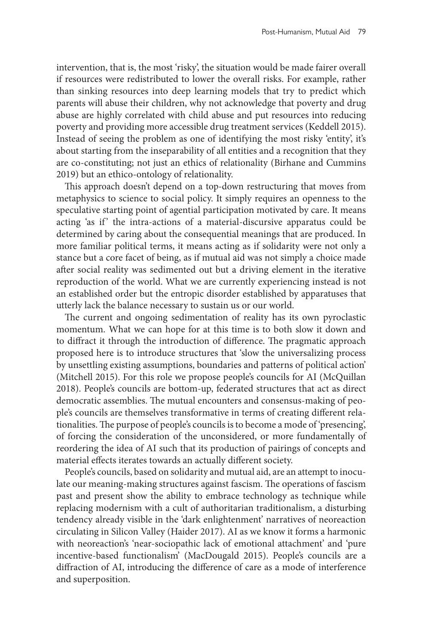intervention, that is, the most 'risky', the situation would be made fairer overall if resources were redistributed to lower the overall risks. For example, rather than sinking resources into deep learning models that try to predict which parents will abuse their children, why not acknowledge that poverty and drug abuse are highly correlated with child abuse and put resources into reducing poverty and providing more accessible drug treatment services (Keddell 2015). Instead of seeing the problem as one of identifying the most risky 'entity', it's about starting from the inseparability of all entities and a recognition that they are co-constituting; not just an ethics of relationality (Birhane and Cummins 2019) but an ethico-ontology of relationality.

This approach doesn't depend on a top-down restructuring that moves from metaphysics to science to social policy. It simply requires an openness to the speculative starting point of agential participation motivated by care. It means acting 'as if' the intra-actions of a material-discursive apparatus could be determined by caring about the consequential meanings that are produced. In more familiar political terms, it means acting as if solidarity were not only a stance but a core facet of being, as if mutual aid was not simply a choice made after social reality was sedimented out but a driving element in the iterative reproduction of the world. What we are currently experiencing instead is not an established order but the entropic disorder established by apparatuses that utterly lack the balance necessary to sustain us or our world.

The current and ongoing sedimentation of reality has its own pyroclastic momentum. What we can hope for at this time is to both slow it down and to diffract it through the introduction of difference. The pragmatic approach proposed here is to introduce structures that 'slow the universalizing process by unsettling existing assumptions, boundaries and patterns of political action' (Mitchell 2015). For this role we propose people's councils for AI (McQuillan 2018). People's councils are bottom-up, federated structures that act as direct democratic assemblies. The mutual encounters and consensus-making of people's councils are themselves transformative in terms of creating different relationalities. The purpose of people's councils is to become a mode of 'presencing', of forcing the consideration of the unconsidered, or more fundamentally of reordering the idea of AI such that its production of pairings of concepts and material effects iterates towards an actually different society.

People's councils, based on solidarity and mutual aid, are an attempt to inoculate our meaning-making structures against fascism. The operations of fascism past and present show the ability to embrace technology as technique while replacing modernism with a cult of authoritarian traditionalism, a disturbing tendency already visible in the 'dark enlightenment' narratives of neoreaction circulating in Silicon Valley (Haider 2017). AI as we know it forms a harmonic with neoreaction's 'near-sociopathic lack of emotional attachment' and 'pure incentive-based functionalism' (MacDougald 2015). People's councils are a diffraction of AI, introducing the difference of care as a mode of interference and superposition.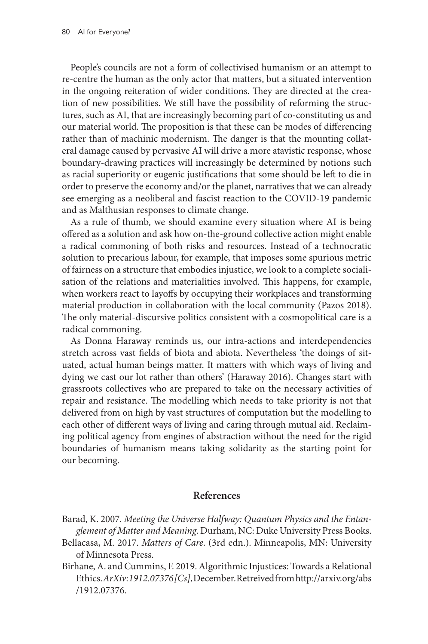People's councils are not a form of collectivised humanism or an attempt to re-centre the human as the only actor that matters, but a situated intervention in the ongoing reiteration of wider conditions. They are directed at the creation of new possibilities. We still have the possibility of reforming the structures, such as AI, that are increasingly becoming part of co-constituting us and our material world. The proposition is that these can be modes of differencing rather than of machinic modernism. The danger is that the mounting collateral damage caused by pervasive AI will drive a more atavistic response, whose boundary-drawing practices will increasingly be determined by notions such as racial superiority or eugenic justifications that some should be left to die in order to preserve the economy and/or the planet, narratives that we can already see emerging as a neoliberal and fascist reaction to the COVID-19 pandemic and as Malthusian responses to climate change.

As a rule of thumb, we should examine every situation where AI is being offered as a solution and ask how on-the-ground collective action might enable a radical commoning of both risks and resources. Instead of a technocratic solution to precarious labour, for example, that imposes some spurious metric of fairness on a structure that embodies injustice, we look to a complete socialisation of the relations and materialities involved. This happens, for example, when workers react to layoffs by occupying their workplaces and transforming material production in collaboration with the local community (Pazos 2018). The only material-discursive politics consistent with a cosmopolitical care is a radical commoning.

As Donna Haraway reminds us, our intra-actions and interdependencies stretch across vast fields of biota and abiota. Nevertheless 'the doings of situated, actual human beings matter. It matters with which ways of living and dying we cast our lot rather than others' (Haraway 2016). Changes start with grassroots collectives who are prepared to take on the necessary activities of repair and resistance. The modelling which needs to take priority is not that delivered from on high by vast structures of computation but the modelling to each other of different ways of living and caring through mutual aid. Reclaiming political agency from engines of abstraction without the need for the rigid boundaries of humanism means taking solidarity as the starting point for our becoming.

# **References**

- Bellacasa, M. 2017. *Matters of Care*. (3rd edn.). Minneapolis, MN: University of Minnesota Press.
- Birhane, A. and Cummins, F. 2019. Algorithmic Injustices: Towards a Relational Ethics. *ArXiv:1912.07376 [Cs]*, December. Retreived from [http://arxiv.org/abs](http://arxiv.org/abs/1912.07376) [/1912.07376](http://arxiv.org/abs/1912.07376).

Barad, K. 2007. *Meeting the Universe Halfway: Quantum Physics and the Entanglement of Matter and Meaning*. Durham, NC: Duke University Press Books.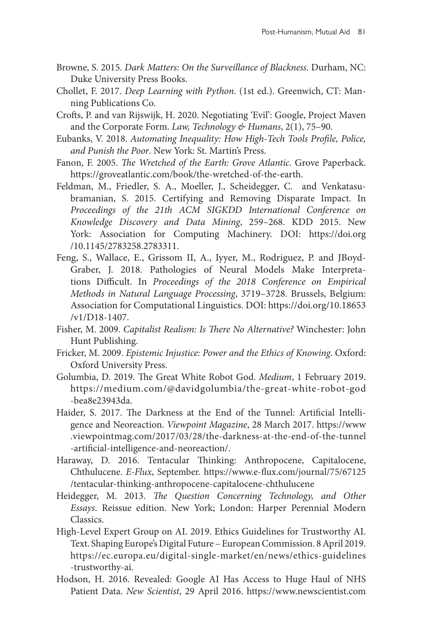- Browne, S. 2015. *Dark Matters: On the Surveillance of Blackness*. Durham, NC: Duke University Press Books.
- Chollet, F. 2017. *Deep Learning with Python*. (1st ed.). Greenwich, CT: Manning Publications Co.
- Crofts, P. and van Rijswijk, H. 2020. Negotiating 'Evil': Google, Project Maven and the Corporate Form. *Law, Technology & Humans*, 2(1), 75–90.
- Eubanks, V. 2018. *Automating Inequality: How High-Tech Tools Profile, Police, and Punish the Poor*. New York: St. Martin's Press.
- Fanon, F. 2005. *The Wretched of the Earth: Grove Atlantic*. Grove Paperback. [https://groveatlantic.com/book/the-wretched-of-the-earth](https://groveatlantic.com/book/the-wretched-of-the-earth/).
- Feldman, M., Friedler, S. A., Moeller, J., Scheidegger, C. and Venkatasubramanian, S. 2015. Certifying and Removing Disparate Impact. In *Proceedings of the 21th ACM SIGKDD International Conference on Knowledge Discovery and Data Mining*, 259–268. KDD 2015. New York: Association for Computing Machinery. DOI: [https://doi.org](https://doi.org/10.1145/2783258.2783311) [/10.1145/2783258.2783311](https://doi.org/10.1145/2783258.2783311).
- Feng, S., Wallace, E., Grissom II, A., Iyyer, M., Rodriguez, P. and JBoyd-Graber, J. 2018. Pathologies of Neural Models Make Interpretations Difficult. In *Proceedings of the 2018 Conference on Empirical Methods in Natural Language Processing*, 3719–3728. Brussels, Belgium: Association for Computational Linguistics. DOI: [https://doi.org/10.18653](https://doi.org/10.18653/v1/D18-1407) [/v1/D18-1407.](https://doi.org/10.18653/v1/D18-1407)
- Fisher, M. 2009. *Capitalist Realism: Is There No Alternative?* Winchester: John Hunt Publishing.
- Fricker, M. 2009. *Epistemic Injustice: Power and the Ethics of Knowing*. Oxford: Oxford University Press.
- Golumbia, D. 2019. The Great White Robot God. *Medium*, 1 February 2019. [https://medium.com/@davidgolumbia/the-great-white-robot-god](mailto:https://medium.com/@davidgolumbia/the-great-white-robot-god-bea8e23943da) [-bea8e23943da](mailto:https://medium.com/@davidgolumbia/the-great-white-robot-god-bea8e23943da).
- Haider, S. 2017. The Darkness at the End of the Tunnel: Artificial Intelligence and Neoreaction. *Viewpoint Magazine*, 28 March 2017. [https://www](https://www.viewpointmag.com/2017/03/28/the-darkness-at-the-end-of-the-tunnel-artificial-intelligence-and-neoreaction/) [.viewpointmag.com/2017/03/28/the-darkness-at-the-end-of-the-tunnel](https://www.viewpointmag.com/2017/03/28/the-darkness-at-the-end-of-the-tunnel-artificial-intelligence-and-neoreaction/) [-artificial-intelligence-and-neoreaction/.](https://www.viewpointmag.com/2017/03/28/the-darkness-at-the-end-of-the-tunnel-artificial-intelligence-and-neoreaction/)
- Haraway, D. 2016. Tentacular Thinking: Anthropocene, Capitalocene, Chthulucene. *E-Flux*, September. [https://www.e-flux.com/journal/75/67125](https://www.e-flux.com/journal/75/67125/tentacular-thinking-anthropocene-capitalocene-chthulucene) [/tentacular-thinking-anthropocene-capitalocene-chthulucene](https://www.e-flux.com/journal/75/67125/tentacular-thinking-anthropocene-capitalocene-chthulucene)
- Heidegger, M. 2013. *The Question Concerning Technology, and Other Essays*. Reissue edition. New York; London: Harper Perennial Modern Classics.
- High-Level Expert Group on AI. 2019. Ethics Guidelines for Trustworthy AI. Text. Shaping Europe's Digital Future – European Commission. 8 April 2019. [https://ec.europa.eu/digital-single-market/en/news/ethics-guidelines](https://ec.europa.eu/digital-single-market/en/news/ethics-guidelines-trustworthy-ai) [-trustworthy-ai](https://ec.europa.eu/digital-single-market/en/news/ethics-guidelines-trustworthy-ai).
- Hodson, H. 2016. Revealed: Google AI Has Access to Huge Haul of NHS Patient Data. *New Scientist*, 29 April 2016. [https://www.newscientist.com](https://www.newscientist.com/article/2086454-revealed-google-ai-has-access-to-huge-haul-of-nhs-patient-data/)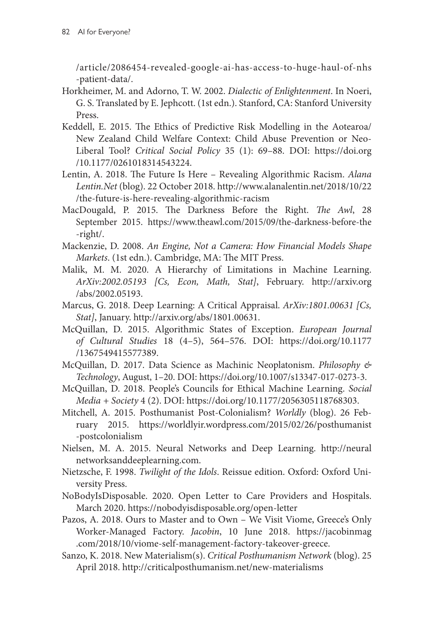[/article/2086454-revealed-google-ai-has-access-to-huge-haul-of-nhs](https://www.newscientist.com/article/2086454-revealed-google-ai-has-access-to-huge-haul-of-nhs-patient-data/) [-patient-data/.](https://www.newscientist.com/article/2086454-revealed-google-ai-has-access-to-huge-haul-of-nhs-patient-data/)

- Horkheimer, M. and Adorno, T. W. 2002. *Dialectic of Enlightenment*. In Noeri, G. S. Translated by E. Jephcott. (1st edn.). Stanford, CA: Stanford University Press.
- Keddell, E. 2015. The Ethics of Predictive Risk Modelling in the Aotearoa/ New Zealand Child Welfare Context: Child Abuse Prevention or Neo-Liberal Tool? *Critical Social Policy* 35 (1): 69–88. DOI: [https://doi.org](https://doi.org/10.1177/0261018314543224) [/10.1177/0261018314543224](https://doi.org/10.1177/0261018314543224).
- Lentin, A. 2018. The Future Is Here Revealing Algorithmic Racism. *Alana [Lentin.Net](http://Lentin.Net)* (blog). 22 October 2018. [http://www.alanalentin.net/2018/10/22](http://www.alanalentin.net/2018/10/22/the-future-is-here-revealing-algorithmic-racism) [/the-future-is-here-revealing-algorithmic-racism](http://www.alanalentin.net/2018/10/22/the-future-is-here-revealing-algorithmic-racism)
- MacDougald, P. 2015. The Darkness Before the Right. *The Awl*, 28 September 2015. [https://www.theawl.com/2015/09/the-darkness-before-the](https://www.theawl.com/2015/09/the-darkness-before-the-right/) [-right/.](https://www.theawl.com/2015/09/the-darkness-before-the-right/)
- Mackenzie, D. 2008. *An Engine, Not a Camera: How Financial Models Shape Markets*. (1st edn.). Cambridge, MA: The MIT Press.
- Malik, M. M. 2020. A Hierarchy of Limitations in Machine Learning. *ArXiv:2002.05193 [Cs, Econ, Math, Stat]*, February. [http://arxiv.org](http://arxiv.org/abs/2002.05193) [/abs/2002.05193.](http://arxiv.org/abs/2002.05193)
- Marcus, G. 2018. Deep Learning: A Critical Appraisal. *ArXiv:1801.00631 [Cs, Stat]*, January. [http://arxiv.org/abs/1801.00631.](http://arxiv.org/abs/1801.00631)
- McQuillan, D. 2015. Algorithmic States of Exception. *European Journal of Cultural Studies* 18 (4–5), 564–576. DOI: [https://doi.org/10.1177](https://doi.org/10.1177/1367549415577389) [/1367549415577389](https://doi.org/10.1177/1367549415577389).
- McQuillan, D. 2017. Data Science as Machinic Neoplatonism. *Philosophy & Technology*, August, 1–20. DOI: <https://doi.org/10.1007/s13347-017-0273-3>.
- McQuillan, D. 2018. People's Councils for Ethical Machine Learning. *Social Media + Society* 4 (2). DOI: [https://doi.org/10.1177/2056305118768303.](https://doi.org/10.1177/2056305118768303)
- Mitchell, A. 2015. Posthumanist Post-Colonialism? *Worldly* (blog). 26 February 2015. [https://worldlyir.wordpress.com/2015/02/26/posthumanist](https://worldlyir.wordpress.com/2015/02/26/posthumanist-postcolonialism) [-postcolonialism](https://worldlyir.wordpress.com/2015/02/26/posthumanist-postcolonialism)
- Nielsen, M. A. 2015. Neural Networks and Deep Learning. [http://neural](http://neuralnetworksanddeeplearning.com) [networksanddeeplearning.com](http://neuralnetworksanddeeplearning.com).
- Nietzsche, F. 1998. *Twilight of the Idols*. Reissue edition. Oxford: Oxford University Press.
- NoBodyIsDisposable. 2020. Open Letter to Care Providers and Hospitals. March 2020. <https://nobodyisdisposable.org/open-letter>
- Pazos, A. 2018. Ours to Master and to Own We Visit Viome, Greece's Only Worker-Managed Factory. *Jacobin*, 10 June 2018. [https://jacobinmag](https://jacobinmag.com/2018/10/viome-self-management-factory-takeover-greece) [.com/2018/10/viome-self-management-factory-takeover-greece](https://jacobinmag.com/2018/10/viome-self-management-factory-takeover-greece).
- Sanzo, K. 2018. New Materialism(s). *Critical Posthumanism Network* (blog). 25 April 2018.<http://criticalposthumanism.net/new-materialisms>